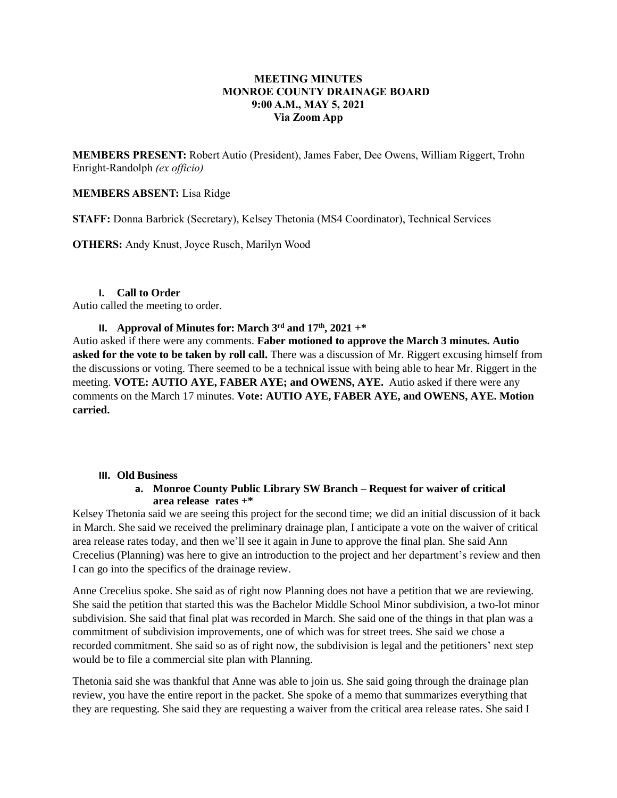# **MEETING MINUTES MONROE COUNTY DRAINAGE BOARD 9:00 A.M., MAY 5, 2021 Via Zoom App**

**MEMBERS PRESENT:** Robert Autio (President), James Faber, Dee Owens, William Riggert, Trohn Enright-Randolph *(ex officio)*

#### **MEMBERS ABSENT:** Lisa Ridge

**STAFF:** Donna Barbrick (Secretary), Kelsey Thetonia (MS4 Coordinator), Technical Services

**OTHERS:** Andy Knust, Joyce Rusch, Marilyn Wood

#### **I. Call to Order**

Autio called the meeting to order.

# **II. Approval of Minutes for: March 3 rd and 17th , 2021 +\***

Autio asked if there were any comments. **Faber motioned to approve the March 3 minutes. Autio asked for the vote to be taken by roll call.** There was a discussion of Mr. Riggert excusing himself from the discussions or voting. There seemed to be a technical issue with being able to hear Mr. Riggert in the meeting. **VOTE: AUTIO AYE, FABER AYE; and OWENS, AYE.** Autio asked if there were any comments on the March 17 minutes. **Vote: AUTIO AYE, FABER AYE, and OWENS, AYE. Motion carried.**

#### **III. Old Business**

# **a. Monroe County Public Library SW Branch – Request for waiver of critical area release rates +\***

Kelsey Thetonia said we are seeing this project for the second time; we did an initial discussion of it back in March. She said we received the preliminary drainage plan, I anticipate a vote on the waiver of critical area release rates today, and then we'll see it again in June to approve the final plan. She said Ann Crecelius (Planning) was here to give an introduction to the project and her department's review and then I can go into the specifics of the drainage review.

Anne Crecelius spoke. She said as of right now Planning does not have a petition that we are reviewing. She said the petition that started this was the Bachelor Middle School Minor subdivision, a two-lot minor subdivision. She said that final plat was recorded in March. She said one of the things in that plan was a commitment of subdivision improvements, one of which was for street trees. She said we chose a recorded commitment. She said so as of right now, the subdivision is legal and the petitioners' next step would be to file a commercial site plan with Planning.

Thetonia said she was thankful that Anne was able to join us. She said going through the drainage plan review, you have the entire report in the packet. She spoke of a memo that summarizes everything that they are requesting. She said they are requesting a waiver from the critical area release rates. She said I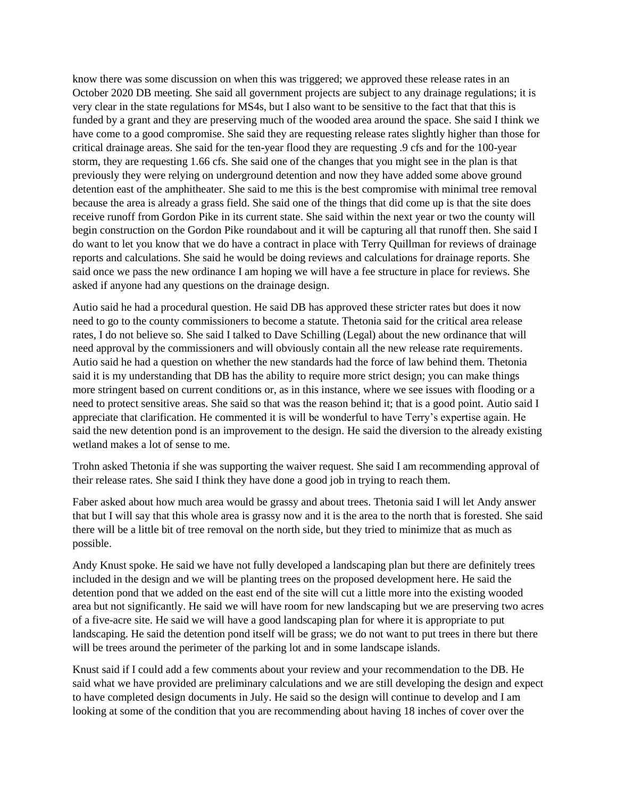know there was some discussion on when this was triggered; we approved these release rates in an October 2020 DB meeting. She said all government projects are subject to any drainage regulations; it is very clear in the state regulations for MS4s, but I also want to be sensitive to the fact that that this is funded by a grant and they are preserving much of the wooded area around the space. She said I think we have come to a good compromise. She said they are requesting release rates slightly higher than those for critical drainage areas. She said for the ten-year flood they are requesting .9 cfs and for the 100-year storm, they are requesting 1.66 cfs. She said one of the changes that you might see in the plan is that previously they were relying on underground detention and now they have added some above ground detention east of the amphitheater. She said to me this is the best compromise with minimal tree removal because the area is already a grass field. She said one of the things that did come up is that the site does receive runoff from Gordon Pike in its current state. She said within the next year or two the county will begin construction on the Gordon Pike roundabout and it will be capturing all that runoff then. She said I do want to let you know that we do have a contract in place with Terry Quillman for reviews of drainage reports and calculations. She said he would be doing reviews and calculations for drainage reports. She said once we pass the new ordinance I am hoping we will have a fee structure in place for reviews. She asked if anyone had any questions on the drainage design.

Autio said he had a procedural question. He said DB has approved these stricter rates but does it now need to go to the county commissioners to become a statute. Thetonia said for the critical area release rates, I do not believe so. She said I talked to Dave Schilling (Legal) about the new ordinance that will need approval by the commissioners and will obviously contain all the new release rate requirements. Autio said he had a question on whether the new standards had the force of law behind them. Thetonia said it is my understanding that DB has the ability to require more strict design; you can make things more stringent based on current conditions or, as in this instance, where we see issues with flooding or a need to protect sensitive areas. She said so that was the reason behind it; that is a good point. Autio said I appreciate that clarification. He commented it is will be wonderful to have Terry's expertise again. He said the new detention pond is an improvement to the design. He said the diversion to the already existing wetland makes a lot of sense to me.

Trohn asked Thetonia if she was supporting the waiver request. She said I am recommending approval of their release rates. She said I think they have done a good job in trying to reach them.

Faber asked about how much area would be grassy and about trees. Thetonia said I will let Andy answer that but I will say that this whole area is grassy now and it is the area to the north that is forested. She said there will be a little bit of tree removal on the north side, but they tried to minimize that as much as possible.

Andy Knust spoke. He said we have not fully developed a landscaping plan but there are definitely trees included in the design and we will be planting trees on the proposed development here. He said the detention pond that we added on the east end of the site will cut a little more into the existing wooded area but not significantly. He said we will have room for new landscaping but we are preserving two acres of a five-acre site. He said we will have a good landscaping plan for where it is appropriate to put landscaping. He said the detention pond itself will be grass; we do not want to put trees in there but there will be trees around the perimeter of the parking lot and in some landscape islands.

Knust said if I could add a few comments about your review and your recommendation to the DB. He said what we have provided are preliminary calculations and we are still developing the design and expect to have completed design documents in July. He said so the design will continue to develop and I am looking at some of the condition that you are recommending about having 18 inches of cover over the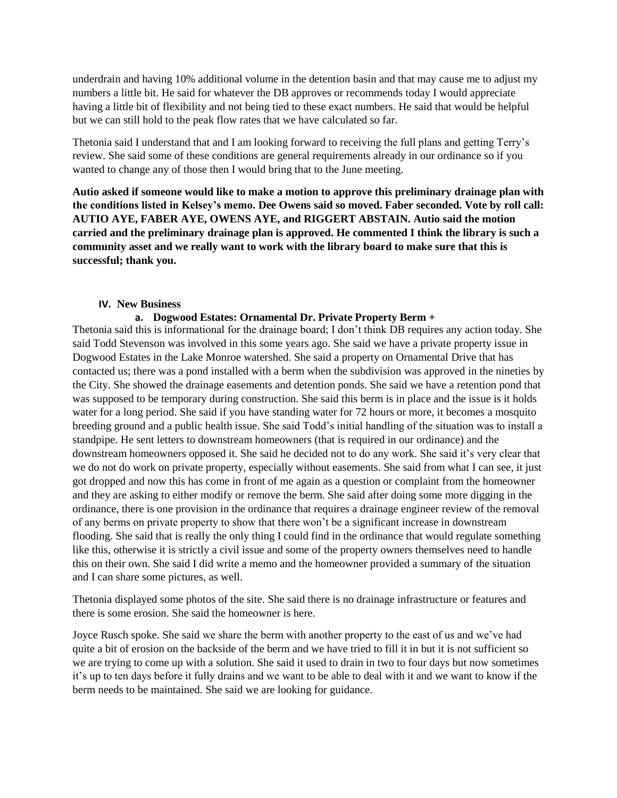underdrain and having 10% additional volume in the detention basin and that may cause me to adjust my numbers a little bit. He said for whatever the DB approves or recommends today I would appreciate having a little bit of flexibility and not being tied to these exact numbers. He said that would be helpful but we can still hold to the peak flow rates that we have calculated so far.

Thetonia said I understand that and I am looking forward to receiving the full plans and getting Terry's review. She said some of these conditions are general requirements already in our ordinance so if you wanted to change any of those then I would bring that to the June meeting.

**Autio asked if someone would like to make a motion to approve this preliminary drainage plan with the conditions listed in Kelsey's memo. Dee Owens said so moved. Faber seconded. Vote by roll call: AUTIO AYE, FABER AYE, OWENS AYE, and RIGGERT ABSTAIN. Autio said the motion carried and the preliminary drainage plan is approved. He commented I think the library is such a community asset and we really want to work with the library board to make sure that this is successful; thank you.** 

# **IV. New Business**

# **a. Dogwood Estates: Ornamental Dr. Private Property Berm +**

Thetonia said this is informational for the drainage board; I don't think DB requires any action today. She said Todd Stevenson was involved in this some years ago. She said we have a private property issue in Dogwood Estates in the Lake Monroe watershed. She said a property on Ornamental Drive that has contacted us; there was a pond installed with a berm when the subdivision was approved in the nineties by the City. She showed the drainage easements and detention ponds. She said we have a retention pond that was supposed to be temporary during construction. She said this berm is in place and the issue is it holds water for a long period. She said if you have standing water for 72 hours or more, it becomes a mosquito breeding ground and a public health issue. She said Todd's initial handling of the situation was to install a standpipe. He sent letters to downstream homeowners (that is required in our ordinance) and the downstream homeowners opposed it. She said he decided not to do any work. She said it's very clear that we do not do work on private property, especially without easements. She said from what I can see, it just got dropped and now this has come in front of me again as a question or complaint from the homeowner and they are asking to either modify or remove the berm. She said after doing some more digging in the ordinance, there is one provision in the ordinance that requires a drainage engineer review of the removal of any berms on private property to show that there won't be a significant increase in downstream flooding. She said that is really the only thing I could find in the ordinance that would regulate something like this, otherwise it is strictly a civil issue and some of the property owners themselves need to handle this on their own. She said I did write a memo and the homeowner provided a summary of the situation and I can share some pictures, as well.

Thetonia displayed some photos of the site. She said there is no drainage infrastructure or features and there is some erosion. She said the homeowner is here.

Joyce Rusch spoke. She said we share the berm with another property to the east of us and we've had quite a bit of erosion on the backside of the berm and we have tried to fill it in but it is not sufficient so we are trying to come up with a solution. She said it used to drain in two to four days but now sometimes it's up to ten days before it fully drains and we want to be able to deal with it and we want to know if the berm needs to be maintained. She said we are looking for guidance.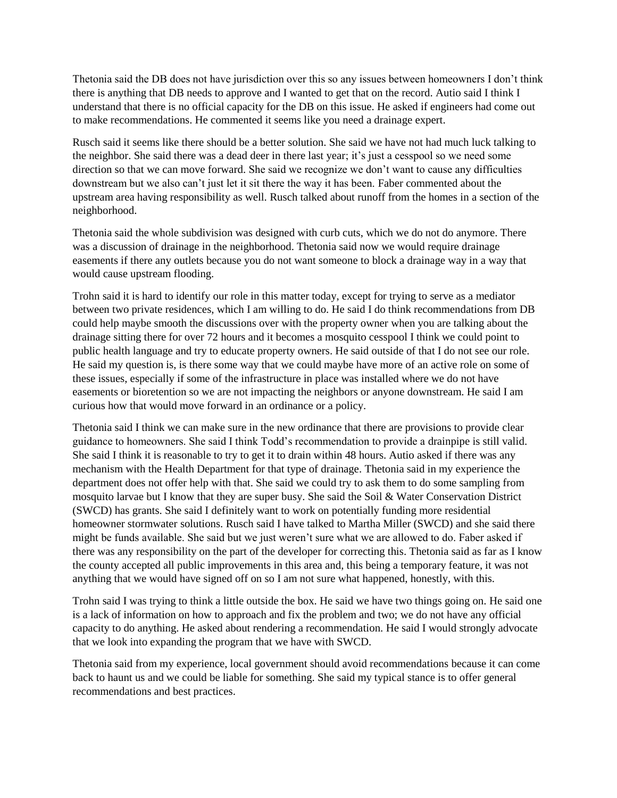Thetonia said the DB does not have jurisdiction over this so any issues between homeowners I don't think there is anything that DB needs to approve and I wanted to get that on the record. Autio said I think I understand that there is no official capacity for the DB on this issue. He asked if engineers had come out to make recommendations. He commented it seems like you need a drainage expert.

Rusch said it seems like there should be a better solution. She said we have not had much luck talking to the neighbor. She said there was a dead deer in there last year; it's just a cesspool so we need some direction so that we can move forward. She said we recognize we don't want to cause any difficulties downstream but we also can't just let it sit there the way it has been. Faber commented about the upstream area having responsibility as well. Rusch talked about runoff from the homes in a section of the neighborhood.

Thetonia said the whole subdivision was designed with curb cuts, which we do not do anymore. There was a discussion of drainage in the neighborhood. Thetonia said now we would require drainage easements if there any outlets because you do not want someone to block a drainage way in a way that would cause upstream flooding.

Trohn said it is hard to identify our role in this matter today, except for trying to serve as a mediator between two private residences, which I am willing to do. He said I do think recommendations from DB could help maybe smooth the discussions over with the property owner when you are talking about the drainage sitting there for over 72 hours and it becomes a mosquito cesspool I think we could point to public health language and try to educate property owners. He said outside of that I do not see our role. He said my question is, is there some way that we could maybe have more of an active role on some of these issues, especially if some of the infrastructure in place was installed where we do not have easements or bioretention so we are not impacting the neighbors or anyone downstream. He said I am curious how that would move forward in an ordinance or a policy.

Thetonia said I think we can make sure in the new ordinance that there are provisions to provide clear guidance to homeowners. She said I think Todd's recommendation to provide a drainpipe is still valid. She said I think it is reasonable to try to get it to drain within 48 hours. Autio asked if there was any mechanism with the Health Department for that type of drainage. Thetonia said in my experience the department does not offer help with that. She said we could try to ask them to do some sampling from mosquito larvae but I know that they are super busy. She said the Soil & Water Conservation District (SWCD) has grants. She said I definitely want to work on potentially funding more residential homeowner stormwater solutions. Rusch said I have talked to Martha Miller (SWCD) and she said there might be funds available. She said but we just weren't sure what we are allowed to do. Faber asked if there was any responsibility on the part of the developer for correcting this. Thetonia said as far as I know the county accepted all public improvements in this area and, this being a temporary feature, it was not anything that we would have signed off on so I am not sure what happened, honestly, with this.

Trohn said I was trying to think a little outside the box. He said we have two things going on. He said one is a lack of information on how to approach and fix the problem and two; we do not have any official capacity to do anything. He asked about rendering a recommendation. He said I would strongly advocate that we look into expanding the program that we have with SWCD.

Thetonia said from my experience, local government should avoid recommendations because it can come back to haunt us and we could be liable for something. She said my typical stance is to offer general recommendations and best practices.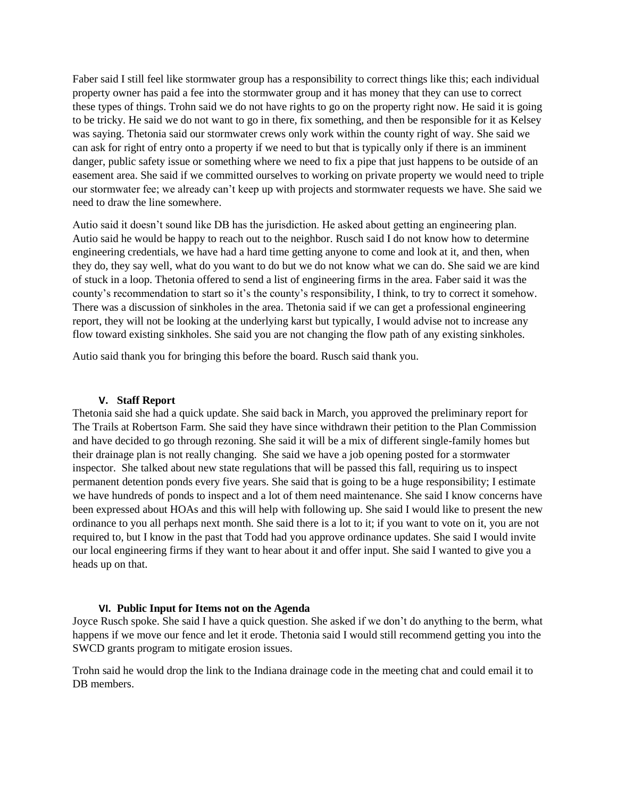Faber said I still feel like stormwater group has a responsibility to correct things like this; each individual property owner has paid a fee into the stormwater group and it has money that they can use to correct these types of things. Trohn said we do not have rights to go on the property right now. He said it is going to be tricky. He said we do not want to go in there, fix something, and then be responsible for it as Kelsey was saying. Thetonia said our stormwater crews only work within the county right of way. She said we can ask for right of entry onto a property if we need to but that is typically only if there is an imminent danger, public safety issue or something where we need to fix a pipe that just happens to be outside of an easement area. She said if we committed ourselves to working on private property we would need to triple our stormwater fee; we already can't keep up with projects and stormwater requests we have. She said we need to draw the line somewhere.

Autio said it doesn't sound like DB has the jurisdiction. He asked about getting an engineering plan. Autio said he would be happy to reach out to the neighbor. Rusch said I do not know how to determine engineering credentials, we have had a hard time getting anyone to come and look at it, and then, when they do, they say well, what do you want to do but we do not know what we can do. She said we are kind of stuck in a loop. Thetonia offered to send a list of engineering firms in the area. Faber said it was the county's recommendation to start so it's the county's responsibility, I think, to try to correct it somehow. There was a discussion of sinkholes in the area. Thetonia said if we can get a professional engineering report, they will not be looking at the underlying karst but typically, I would advise not to increase any flow toward existing sinkholes. She said you are not changing the flow path of any existing sinkholes.

Autio said thank you for bringing this before the board. Rusch said thank you.

#### **V. Staff Report**

Thetonia said she had a quick update. She said back in March, you approved the preliminary report for The Trails at Robertson Farm. She said they have since withdrawn their petition to the Plan Commission and have decided to go through rezoning. She said it will be a mix of different single-family homes but their drainage plan is not really changing. She said we have a job opening posted for a stormwater inspector. She talked about new state regulations that will be passed this fall, requiring us to inspect permanent detention ponds every five years. She said that is going to be a huge responsibility; I estimate we have hundreds of ponds to inspect and a lot of them need maintenance. She said I know concerns have been expressed about HOAs and this will help with following up. She said I would like to present the new ordinance to you all perhaps next month. She said there is a lot to it; if you want to vote on it, you are not required to, but I know in the past that Todd had you approve ordinance updates. She said I would invite our local engineering firms if they want to hear about it and offer input. She said I wanted to give you a heads up on that.

# **VI. Public Input for Items not on the Agenda**

Joyce Rusch spoke. She said I have a quick question. She asked if we don't do anything to the berm, what happens if we move our fence and let it erode. Thetonia said I would still recommend getting you into the SWCD grants program to mitigate erosion issues.

Trohn said he would drop the link to the Indiana drainage code in the meeting chat and could email it to DB members.